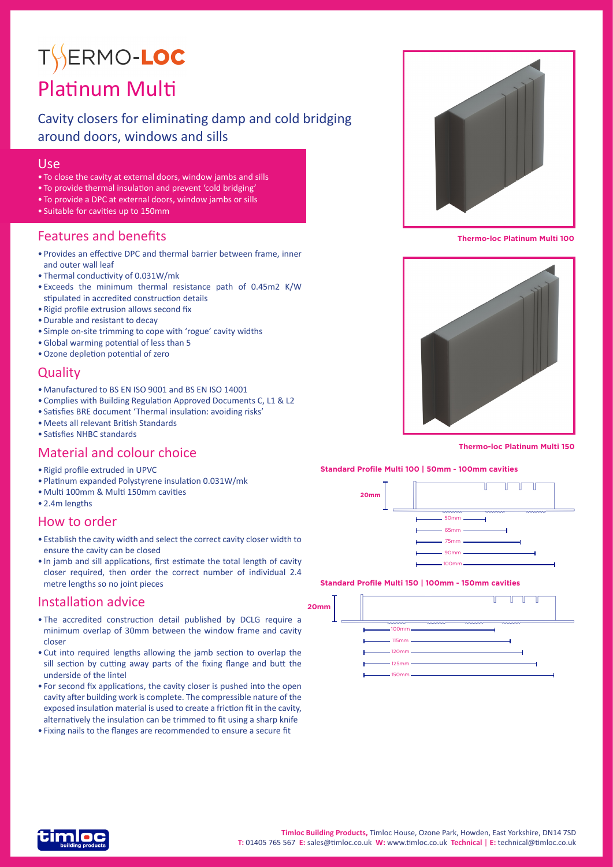# TYERMO-LOC Platinum Multi

# Cavity closers for eliminating damp and cold bridging around doors, windows and sills

## Use

- To close the cavity at external doors, window jambs and sills
- To provide thermal insulation and prevent 'cold bridging'
- To provide a DPC at external doors, window jambs or sills
- Suitable for cavities up to 150mm

## Features and benefits

- Provides an effective DPC and thermal barrier between frame, inner and outer wall leaf
- Thermal conductivity of 0.031W/mk
- Exceeds the minimum thermal resistance path of 0.45m2 K/W stipulated in accredited construction details
- Rigid profile extrusion allows second fix
- •Durable and resistant to decay
- Simple on-site trimming to cope with 'rogue' cavity widths
- •Global warming potential of less than 5
- •Ozone depletion potential of zero

## **Quality**

- Manufactured to BS EN ISO 9001 and BS EN ISO 14001
- Complies with Building Regulation Approved Documents C, L1 & L2
- Satisfies BRE document 'Thermal insulation: avoiding risks'
- Meets all relevant British Standards
- Satisfies NHBC standards

## Material and colour choice

- Rigid profile extruded in UPVC
- Platinum expanded Polystyrene insulation 0.031W/mk
- Multi 100mm & Multi 150mm cavities
- 2.4m lengths

### How to order

- Establish the cavity width and select the correct cavity closer width to ensure the cavity can be closed
- In jamb and sill applications, first estimate the total length of cavity closer required, then order the correct number of individual 2.4 metre lengths so no joint pieces

## Installation advice

- The accredited construction detail published by DCLG require a minimum overlap of 30mm between the window frame and cavity closer
- Cut into required lengths allowing the jamb section to overlap the sill section by cutting away parts of the fixing flange and butt the underside of the lintel
- For second fix applications, the cavity closer is pushed into the open cavity after building work is complete. The compressible nature of the exposed insulation material is used to create a friction fit in the cavity, alternatively the insulation can be trimmed to fit using a sharp knife
- Fixing nails to the flanges are recommended to ensure a secure fit



**Thermo-loc Platinum Multi 100**



**Thermo-loc Platinum Multi 150**

#### **Standard Profile Multi 100 | 50mm - 100mm cavities**



#### **Standard Profile Multi 150 | 100mm - 150mm cavities**